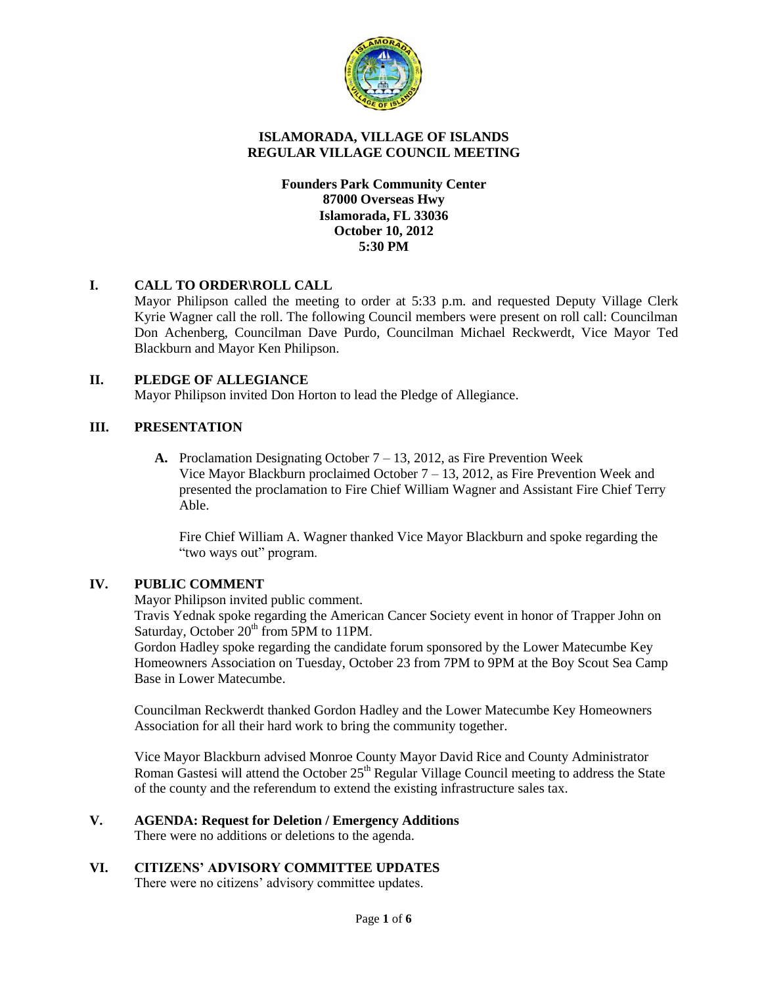

# **ISLAMORADA, VILLAGE OF ISLANDS REGULAR VILLAGE COUNCIL MEETING**

# **Founders Park Community Center 87000 Overseas Hwy Islamorada, FL 33036 October 10, 2012 5:30 PM**

# **I. CALL TO ORDER\ROLL CALL**

Mayor Philipson called the meeting to order at 5:33 p.m. and requested Deputy Village Clerk Kyrie Wagner call the roll. The following Council members were present on roll call: Councilman Don Achenberg, Councilman Dave Purdo, Councilman Michael Reckwerdt, Vice Mayor Ted Blackburn and Mayor Ken Philipson.

# **II. PLEDGE OF ALLEGIANCE**

Mayor Philipson invited Don Horton to lead the Pledge of Allegiance.

# **III. PRESENTATION**

**A.** Proclamation Designating October 7 – 13, 2012, as Fire Prevention Week Vice Mayor Blackburn proclaimed October 7 – 13, 2012, as Fire Prevention Week and presented the proclamation to Fire Chief William Wagner and Assistant Fire Chief Terry Able.

Fire Chief William A. Wagner thanked Vice Mayor Blackburn and spoke regarding the "two ways out" program.

# **IV. PUBLIC COMMENT**

Mayor Philipson invited public comment.

Travis Yednak spoke regarding the American Cancer Society event in honor of Trapper John on Saturday, October 20<sup>th</sup> from 5PM to 11PM.

Gordon Hadley spoke regarding the candidate forum sponsored by the Lower Matecumbe Key Homeowners Association on Tuesday, October 23 from 7PM to 9PM at the Boy Scout Sea Camp Base in Lower Matecumbe.

Councilman Reckwerdt thanked Gordon Hadley and the Lower Matecumbe Key Homeowners Association for all their hard work to bring the community together.

Vice Mayor Blackburn advised Monroe County Mayor David Rice and County Administrator Roman Gastesi will attend the October 25<sup>th</sup> Regular Village Council meeting to address the State of the county and the referendum to extend the existing infrastructure sales tax.

# **V. AGENDA: Request for Deletion / Emergency Additions**

There were no additions or deletions to the agenda.

# **VI. CITIZENS' ADVISORY COMMITTEE UPDATES**

There were no citizens' advisory committee updates.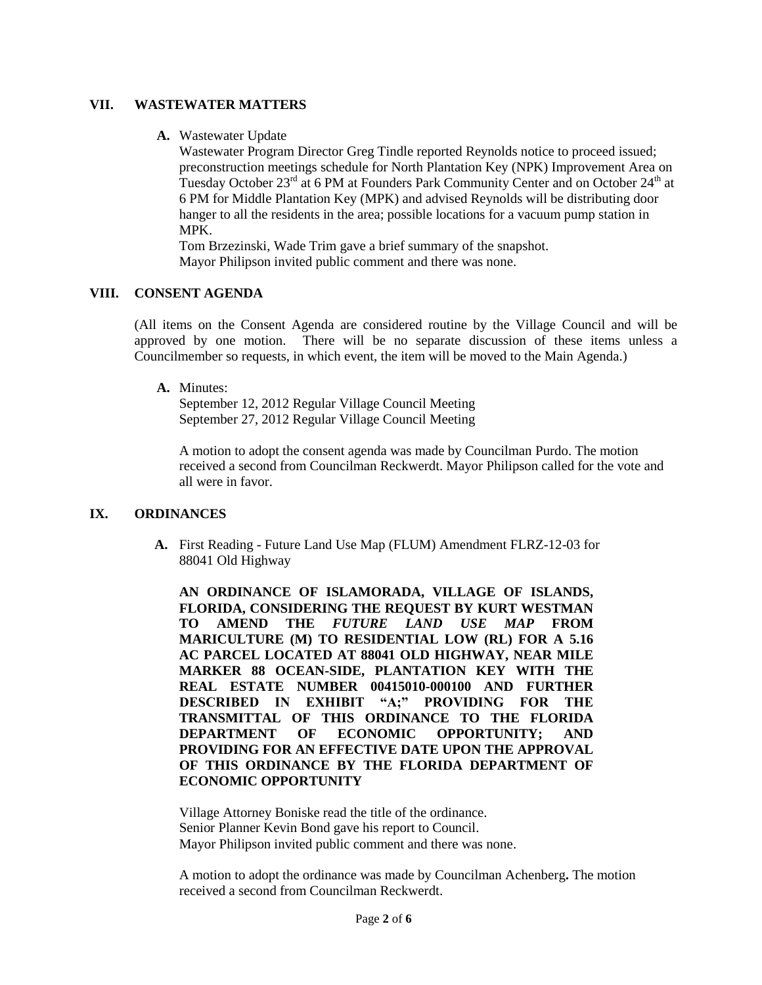#### **VII. WASTEWATER MATTERS**

**A.** Wastewater Update

Wastewater Program Director Greg Tindle reported Reynolds notice to proceed issued; preconstruction meetings schedule for North Plantation Key (NPK) Improvement Area on Tuesday October 23<sup>rd</sup> at 6 PM at Founders Park Community Center and on October 24<sup>th</sup> at 6 PM for Middle Plantation Key (MPK) and advised Reynolds will be distributing door hanger to all the residents in the area; possible locations for a vacuum pump station in MPK.

Tom Brzezinski, Wade Trim gave a brief summary of the snapshot. Mayor Philipson invited public comment and there was none.

# **VIII. CONSENT AGENDA**

(All items on the Consent Agenda are considered routine by the Village Council and will be approved by one motion. There will be no separate discussion of these items unless a Councilmember so requests, in which event, the item will be moved to the Main Agenda.)

#### **A.** Minutes:

September 12, 2012 Regular Village Council Meeting September 27, 2012 Regular Village Council Meeting

A motion to adopt the consent agenda was made by Councilman Purdo. The motion received a second from Councilman Reckwerdt. Mayor Philipson called for the vote and all were in favor.

# **IX. ORDINANCES**

**A.** First Reading - Future Land Use Map (FLUM) Amendment FLRZ-12-03 for 88041 Old Highway

**AN ORDINANCE OF ISLAMORADA, VILLAGE OF ISLANDS, FLORIDA, CONSIDERING THE REQUEST BY KURT WESTMAN TO AMEND THE** *FUTURE LAND USE MAP* **FROM MARICULTURE (M) TO RESIDENTIAL LOW (RL) FOR A 5.16 AC PARCEL LOCATED AT 88041 OLD HIGHWAY, NEAR MILE MARKER 88 OCEAN-SIDE, PLANTATION KEY WITH THE REAL ESTATE NUMBER 00415010-000100 AND FURTHER DESCRIBED IN EXHIBIT "A;" PROVIDING FOR THE TRANSMITTAL OF THIS ORDINANCE TO THE FLORIDA DEPARTMENT OF ECONOMIC OPPORTUNITY; AND PROVIDING FOR AN EFFECTIVE DATE UPON THE APPROVAL OF THIS ORDINANCE BY THE FLORIDA DEPARTMENT OF ECONOMIC OPPORTUNITY**

Village Attorney Boniske read the title of the ordinance. Senior Planner Kevin Bond gave his report to Council. Mayor Philipson invited public comment and there was none.

A motion to adopt the ordinance was made by Councilman Achenberg**.** The motion received a second from Councilman Reckwerdt.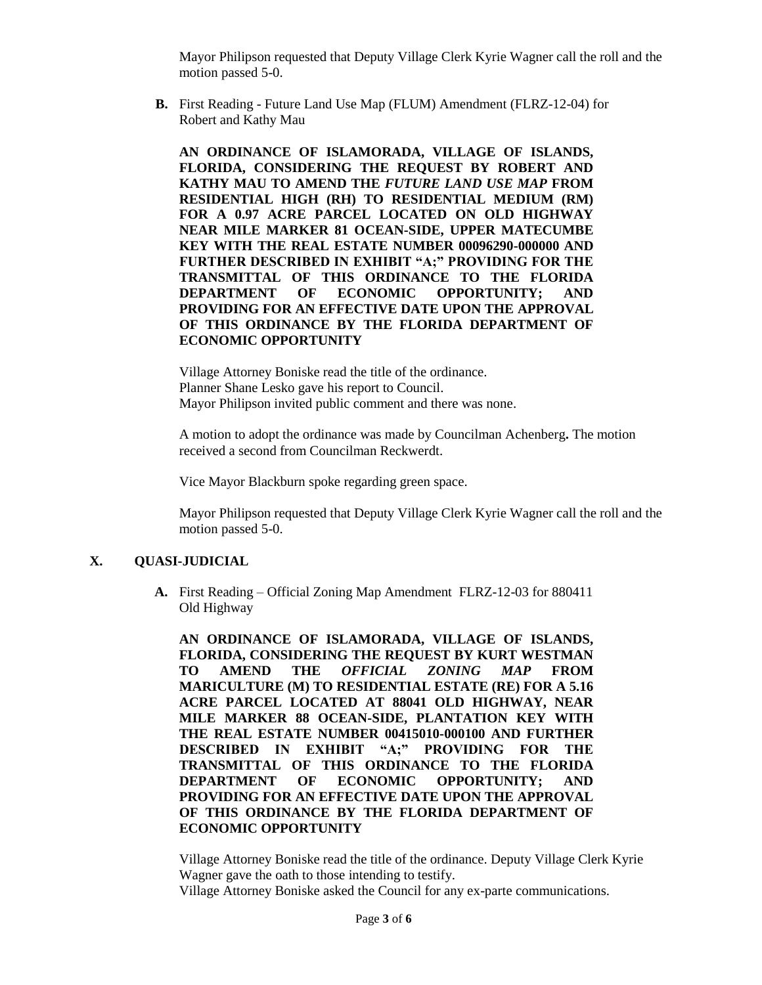Mayor Philipson requested that Deputy Village Clerk Kyrie Wagner call the roll and the motion passed 5-0.

**B.** First Reading - Future Land Use Map (FLUM) Amendment (FLRZ-12-04) for Robert and Kathy Mau

**AN ORDINANCE OF ISLAMORADA, VILLAGE OF ISLANDS, FLORIDA, CONSIDERING THE REQUEST BY ROBERT AND KATHY MAU TO AMEND THE** *FUTURE LAND USE MAP* **FROM RESIDENTIAL HIGH (RH) TO RESIDENTIAL MEDIUM (RM) FOR A 0.97 ACRE PARCEL LOCATED ON OLD HIGHWAY NEAR MILE MARKER 81 OCEAN-SIDE, UPPER MATECUMBE KEY WITH THE REAL ESTATE NUMBER 00096290-000000 AND FURTHER DESCRIBED IN EXHIBIT "A;" PROVIDING FOR THE TRANSMITTAL OF THIS ORDINANCE TO THE FLORIDA DEPARTMENT OF ECONOMIC OPPORTUNITY; AND PROVIDING FOR AN EFFECTIVE DATE UPON THE APPROVAL OF THIS ORDINANCE BY THE FLORIDA DEPARTMENT OF ECONOMIC OPPORTUNITY**

Village Attorney Boniske read the title of the ordinance. Planner Shane Lesko gave his report to Council. Mayor Philipson invited public comment and there was none.

A motion to adopt the ordinance was made by Councilman Achenberg**.** The motion received a second from Councilman Reckwerdt.

Vice Mayor Blackburn spoke regarding green space.

Mayor Philipson requested that Deputy Village Clerk Kyrie Wagner call the roll and the motion passed 5-0.

# **X. QUASI-JUDICIAL**

**A.** First Reading – Official Zoning Map Amendment FLRZ-12-03 for 880411 Old Highway

**AN ORDINANCE OF ISLAMORADA, VILLAGE OF ISLANDS, FLORIDA, CONSIDERING THE REQUEST BY KURT WESTMAN TO AMEND THE** *OFFICIAL ZONING MAP* **FROM MARICULTURE (M) TO RESIDENTIAL ESTATE (RE) FOR A 5.16 ACRE PARCEL LOCATED AT 88041 OLD HIGHWAY, NEAR MILE MARKER 88 OCEAN-SIDE, PLANTATION KEY WITH THE REAL ESTATE NUMBER 00415010-000100 AND FURTHER DESCRIBED IN EXHIBIT "A;" PROVIDING FOR THE TRANSMITTAL OF THIS ORDINANCE TO THE FLORIDA DEPARTMENT OF ECONOMIC OPPORTUNITY; AND PROVIDING FOR AN EFFECTIVE DATE UPON THE APPROVAL OF THIS ORDINANCE BY THE FLORIDA DEPARTMENT OF ECONOMIC OPPORTUNITY**

Village Attorney Boniske read the title of the ordinance. Deputy Village Clerk Kyrie Wagner gave the oath to those intending to testify.

Village Attorney Boniske asked the Council for any ex-parte communications.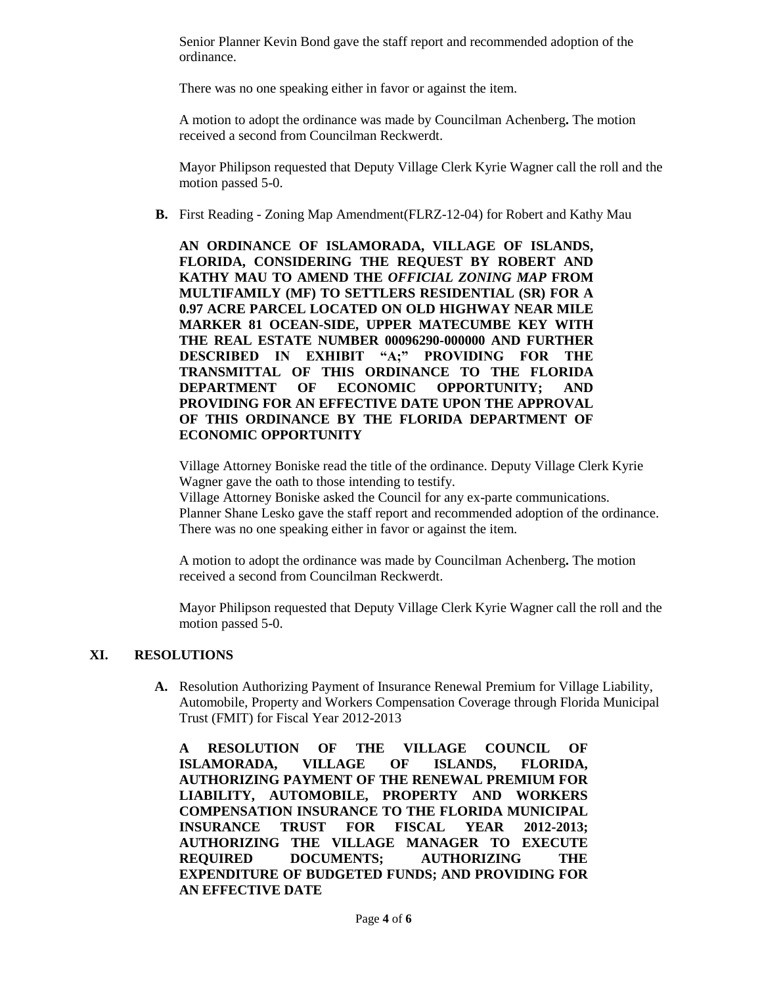Senior Planner Kevin Bond gave the staff report and recommended adoption of the ordinance.

There was no one speaking either in favor or against the item.

A motion to adopt the ordinance was made by Councilman Achenberg**.** The motion received a second from Councilman Reckwerdt.

Mayor Philipson requested that Deputy Village Clerk Kyrie Wagner call the roll and the motion passed 5-0.

**B.** First Reading - Zoning Map Amendment(FLRZ-12-04) for Robert and Kathy Mau

**AN ORDINANCE OF ISLAMORADA, VILLAGE OF ISLANDS, FLORIDA, CONSIDERING THE REQUEST BY ROBERT AND KATHY MAU TO AMEND THE** *OFFICIAL ZONING MAP* **FROM MULTIFAMILY (MF) TO SETTLERS RESIDENTIAL (SR) FOR A 0.97 ACRE PARCEL LOCATED ON OLD HIGHWAY NEAR MILE MARKER 81 OCEAN-SIDE, UPPER MATECUMBE KEY WITH THE REAL ESTATE NUMBER 00096290-000000 AND FURTHER DESCRIBED IN EXHIBIT "A;" PROVIDING FOR THE TRANSMITTAL OF THIS ORDINANCE TO THE FLORIDA DEPARTMENT OF ECONOMIC OPPORTUNITY; AND PROVIDING FOR AN EFFECTIVE DATE UPON THE APPROVAL OF THIS ORDINANCE BY THE FLORIDA DEPARTMENT OF ECONOMIC OPPORTUNITY**

Village Attorney Boniske read the title of the ordinance. Deputy Village Clerk Kyrie Wagner gave the oath to those intending to testify.

Village Attorney Boniske asked the Council for any ex-parte communications. Planner Shane Lesko gave the staff report and recommended adoption of the ordinance. There was no one speaking either in favor or against the item.

A motion to adopt the ordinance was made by Councilman Achenberg**.** The motion received a second from Councilman Reckwerdt.

Mayor Philipson requested that Deputy Village Clerk Kyrie Wagner call the roll and the motion passed 5-0.

# **XI. RESOLUTIONS**

**A.** Resolution Authorizing Payment of Insurance Renewal Premium for Village Liability, Automobile, Property and Workers Compensation Coverage through Florida Municipal Trust (FMIT) for Fiscal Year 2012-2013

**A RESOLUTION OF THE VILLAGE COUNCIL OF ISLAMORADA, VILLAGE OF ISLANDS, FLORIDA, AUTHORIZING PAYMENT OF THE RENEWAL PREMIUM FOR LIABILITY, AUTOMOBILE, PROPERTY AND WORKERS COMPENSATION INSURANCE TO THE FLORIDA MUNICIPAL INSURANCE TRUST FOR FISCAL YEAR 2012-2013; AUTHORIZING THE VILLAGE MANAGER TO EXECUTE REQUIRED DOCUMENTS; AUTHORIZING THE EXPENDITURE OF BUDGETED FUNDS; AND PROVIDING FOR AN EFFECTIVE DATE**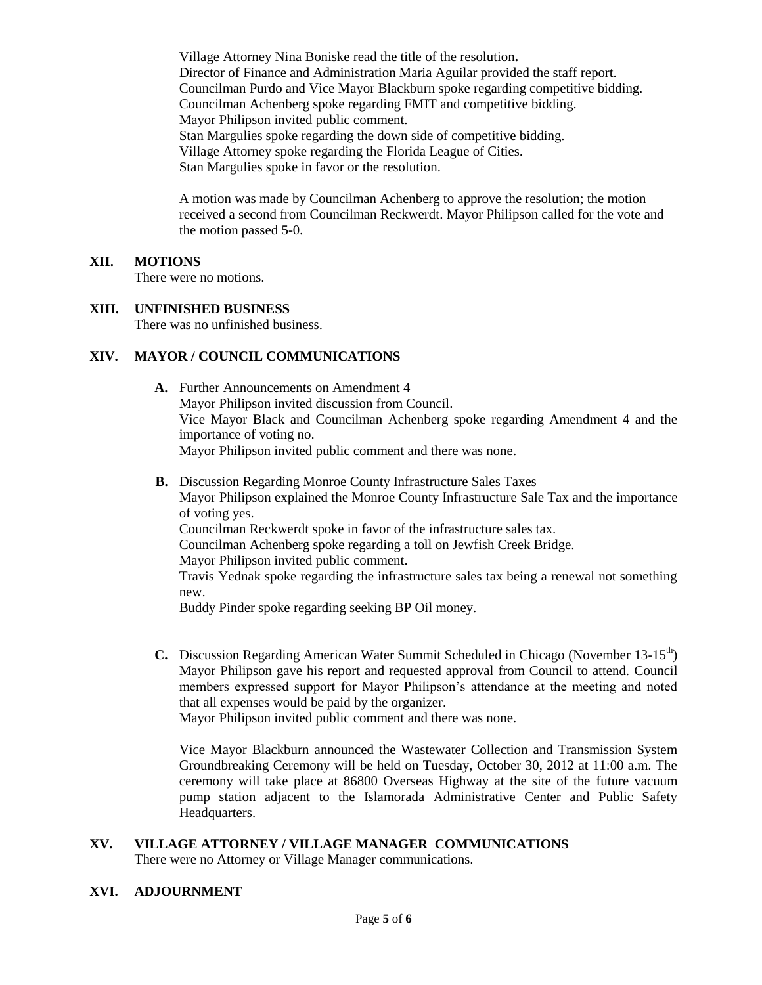Village Attorney Nina Boniske read the title of the resolution**.**  Director of Finance and Administration Maria Aguilar provided the staff report. Councilman Purdo and Vice Mayor Blackburn spoke regarding competitive bidding. Councilman Achenberg spoke regarding FMIT and competitive bidding. Mayor Philipson invited public comment. Stan Margulies spoke regarding the down side of competitive bidding. Village Attorney spoke regarding the Florida League of Cities. Stan Margulies spoke in favor or the resolution.

A motion was made by Councilman Achenberg to approve the resolution; the motion received a second from Councilman Reckwerdt. Mayor Philipson called for the vote and the motion passed 5-0.

# **XII. MOTIONS**

There were no motions.

# **XIII. UNFINISHED BUSINESS**

There was no unfinished business.

# **XIV. MAYOR / COUNCIL COMMUNICATIONS**

- **A.** Further Announcements on Amendment 4 Mayor Philipson invited discussion from Council. Vice Mayor Black and Councilman Achenberg spoke regarding Amendment 4 and the importance of voting no. Mayor Philipson invited public comment and there was none.
- **B.** Discussion Regarding Monroe County Infrastructure Sales Taxes Mayor Philipson explained the Monroe County Infrastructure Sale Tax and the importance of voting yes. Councilman Reckwerdt spoke in favor of the infrastructure sales tax. Councilman Achenberg spoke regarding a toll on Jewfish Creek Bridge. Mayor Philipson invited public comment. Travis Yednak spoke regarding the infrastructure sales tax being a renewal not something new. Buddy Pinder spoke regarding seeking BP Oil money.
- **C.** Discussion Regarding American Water Summit Scheduled in Chicago (November 13-15<sup>th</sup>) Mayor Philipson gave his report and requested approval from Council to attend. Council members expressed support for Mayor Philipson's attendance at the meeting and noted that all expenses would be paid by the organizer.

Mayor Philipson invited public comment and there was none.

Vice Mayor Blackburn announced the Wastewater Collection and Transmission System Groundbreaking Ceremony will be held on Tuesday, October 30, 2012 at 11:00 a.m. The ceremony will take place at 86800 Overseas Highway at the site of the future vacuum pump station adjacent to the Islamorada Administrative Center and Public Safety Headquarters.

# **XV. VILLAGE ATTORNEY / VILLAGE MANAGER COMMUNICATIONS**

There were no Attorney or Village Manager communications.

# **XVI. ADJOURNMENT**